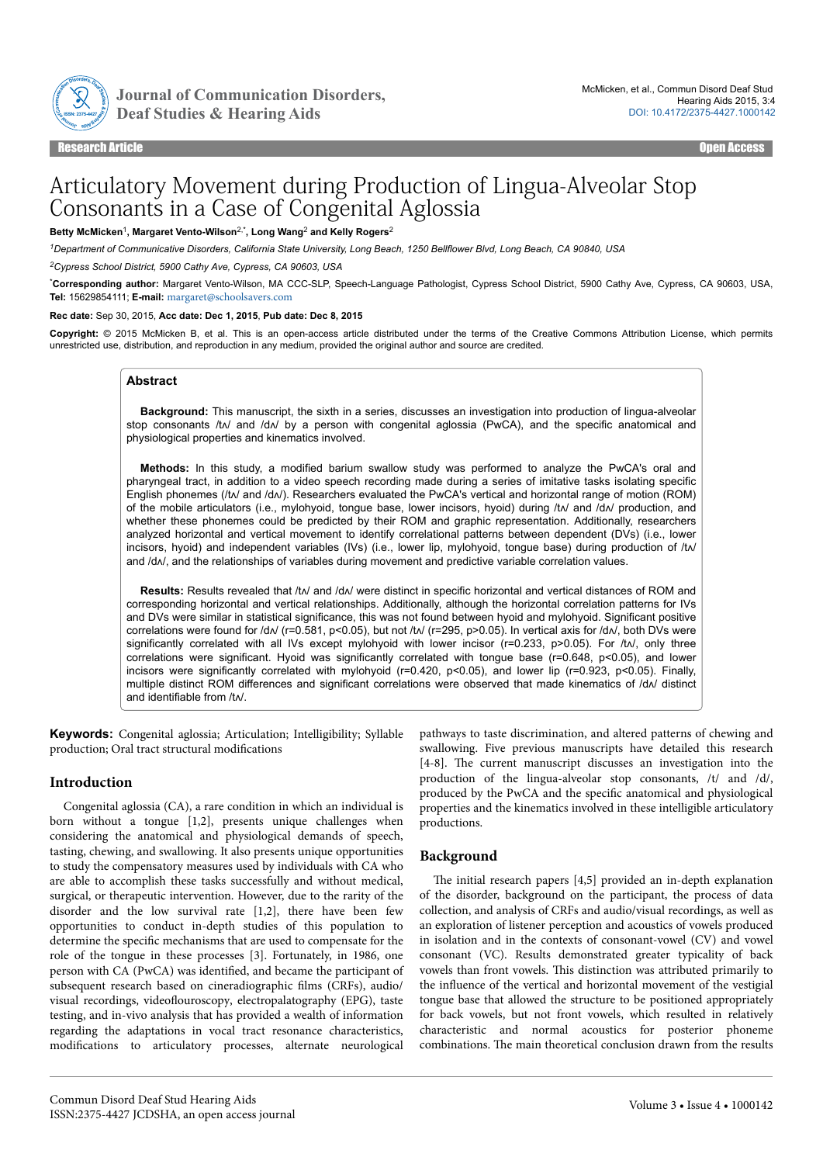

Journal of Communication Disorders,

Research Article Open Access

# Articulatory Movement during Production of Lingua-Alveolar Stop Consonants in a Case of Congenital Aglossia

#### **Betty McMicken**<sup>1</sup> **, Margaret Vento-Wilson**2,\***, Long Wang**<sup>2</sup>  **and Kelly Rogers**<sup>2</sup>

*<sup>1</sup>Department of Communicative Disorders, California State University, Long Beach, 1250 Bellflower Blvd, Long Beach, CA 90840, USA*

*<sup>2</sup>Cypress School District, 5900 Cathy Ave, Cypress, CA 90603, USA*

\***Corresponding author:** Margaret Vento-Wilson, MA CCC-SLP, Speech-Language Pathologist, Cypress School District, 5900 Cathy Ave, Cypress, CA 90603, USA, **Tel:** 15629854111; **E-mail:** [margaret@schoolsavers.com](mailto:margaret@schoolsavers.com)

#### **Rec date:** Sep 30, 2015, **Acc date: Dec 1, 2015**, **Pub date: Dec 8, 2015**

**Copyright:** © 2015 McMicken B, et al. This is an open-access article distributed under the terms of the Creative Commons Attribution License, which permits unrestricted use, distribution, and reproduction in any medium, provided the original author and source are credited.

## **Abstract**

**Background:** This manuscript, the sixth in a series, discusses an investigation into production of lingua-alveolar stop consonants /t $\land$  and /d $\land$  by a person with congenital aglossia (PwCA), and the specific anatomical and physiological properties and kinematics involved.

**Methods:** In this study, a modified barium swallow study was performed to analyze the PwCA's oral and pharyngeal tract, in addition to a video speech recording made during a series of imitative tasks isolating specific English phonemes (/t/ and /d//). Researchers evaluated the PwCA's vertical and horizontal range of motion (ROM) of the mobile articulators (i.e., mylohyoid, tongue base, lower incisors, hyoid) during /tʌ/ and /dʌ/ production, and whether these phonemes could be predicted by their ROM and graphic representation. Additionally, researchers analyzed horizontal and vertical movement to identify correlational patterns between dependent (DVs) (i.e., lower incisors, hyoid) and independent variables (IVs) (i.e., lower lip, mylohyoid, tongue base) during production of /tʌ/ and /d $\wedge$ , and the relationships of variables during movement and predictive variable correlation values.

Results: Results revealed that /t/ and /d// were distinct in specific horizontal and vertical distances of ROM and corresponding horizontal and vertical relationships. Additionally, although the horizontal correlation patterns for IVs and DVs were similar in statistical significance, this was not found between hyoid and mylohyoid. Significant positive correlations were found for /d $\land$  (r=0.581, p<0.05), but not /t $\land$  (r=295, p>0.05). In vertical axis for /d $\land$ , both DVs were significantly correlated with all IVs except mylohyoid with lower incisor (r=0.233, p>0.05). For /t $\wedge$ , only three correlations were significant. Hyoid was significantly correlated with tongue base (r=0.648, p<0.05), and lower incisors were significantly correlated with mylohyoid (r=0.420, p<0.05), and lower lip (r=0.923, p<0.05). Finally, multiple distinct ROM differences and significant correlations were observed that made kinematics of /d// distinct and identifiable from /tʌ/.

**Keywords:** Congenital aglossia; Articulation; Intelligibility; Syllable production; Oral tract structural modifications

## **Introduction**

Congenital aglossia (CA), a rare condition in which an individual is born without a tongue [1,2], presents unique challenges when considering the anatomical and physiological demands of speech, tasting, chewing, and swallowing. It also presents unique opportunities to study the compensatory measures used by individuals with CA who are able to accomplish these tasks successfully and without medical, surgical, or therapeutic intervention. However, due to the rarity of the disorder and the low survival rate [1,2], there have been few opportunities to conduct in-depth studies of this population to determine the specific mechanisms that are used to compensate for the role of the tongue in these processes [3]. Fortunately, in 1986, one person with CA (PwCA) was identified, and became the participant of subsequent research based on cineradiographic films (CRFs), audio/ visual recordings, videoflouroscopy, electropalatography (EPG), taste testing, and in-vivo analysis that has provided a wealth of information regarding the adaptations in vocal tract resonance characteristics, modifications to articulatory processes, alternate neurological pathways to taste discrimination, and altered patterns of chewing and swallowing. Five previous manuscripts have detailed this research [4-8]. Нe current manuscript discusses an investigation into the production of the lingua-alveolar stop consonants, /t/ and /d/, produced by the PwCA and the specific anatomical and physiological properties and the kinematics involved in these intelligible articulatory productions.

## **Background**

The initial research papers [4,5] provided an in-depth explanation of the disorder, background on the participant, the process of data collection, and analysis of CRFs and audio/visual recordings, as well as an exploration of listener perception and acoustics of vowels produced in isolation and in the contexts of consonant-vowel (CV) and vowel consonant (VC). Results demonstrated greater typicality of back vowels than front vowels. Нis distinction was attributed primarily to the influence of the vertical and horizontal movement of the vestigial tongue base that allowed the structure to be positioned appropriately for back vowels, but not front vowels, which resulted in relatively characteristic and normal acoustics for posterior phoneme combinations. Нe main theoretical conclusion drawn from the results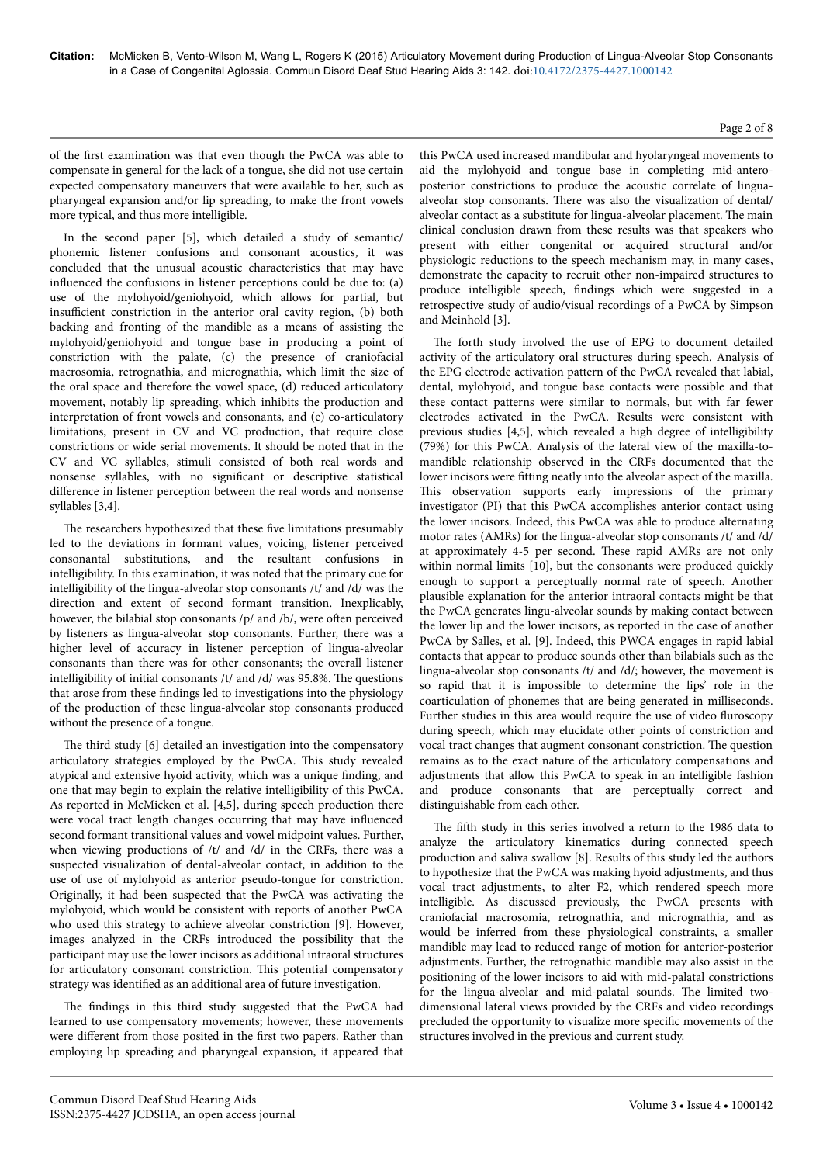## Page 2 of 8

of the first examination was that even though the PwCA was able to compensate in general for the lack of a tongue, she did not use certain expected compensatory maneuvers that were available to her, such as pharyngeal expansion and/or lip spreading, to make the front vowels more typical, and thus more intelligible.

In the second paper [5], which detailed a study of semantic/ phonemic listener confusions and consonant acoustics, it was concluded that the unusual acoustic characteristics that may have influenced the confusions in listener perceptions could be due to: (a) use of the mylohyoid/geniohyoid, which allows for partial, but insufficient constriction in the anterior oral cavity region, (b) both backing and fronting of the mandible as a means of assisting the mylohyoid/geniohyoid and tongue base in producing a point of constriction with the palate, (c) the presence of craniofacial macrosomia, retrognathia, and micrognathia, which limit the size of the oral space and therefore the vowel space, (d) reduced articulatory movement, notably lip spreading, which inhibits the production and interpretation of front vowels and consonants, and (e) co-articulatory limitations, present in CV and VC production, that require close constrictions or wide serial movements. It should be noted that in the CV and VC syllables, stimuli consisted of both real words and nonsense syllables, with no significant or descriptive statistical difference in listener perception between the real words and nonsense syllables [3,4].

The researchers hypothesized that these five limitations presumably led to the deviations in formant values, voicing, listener perceived consonantal substitutions, and the resultant confusions in intelligibility. In this examination, it was noted that the primary cue for intelligibility of the lingua-alveolar stop consonants /t/ and /d/ was the direction and extent of second formant transition. Inexplicably, however, the bilabial stop consonants /p/ and /b/, were often perceived by listeners as lingua-alveolar stop consonants. Further, there was a higher level of accuracy in listener perception of lingua-alveolar consonants than there was for other consonants; the overall listener intelligibility of initial consonants /t/ and /d/ was 95.8%. Нe questions that arose from these findings led to investigations into the physiology of the production of these lingua-alveolar stop consonants produced without the presence of a tongue.

The third study [6] detailed an investigation into the compensatory articulatory strategies employed by the PwCA. Нis study revealed atypical and extensive hyoid activity, which was a unique finding, and one that may begin to explain the relative intelligibility of this PwCA. As reported in McMicken et al. [4,5], during speech production there were vocal tract length changes occurring that may have influenced second formant transitional values and vowel midpoint values. Further, when viewing productions of /t/ and /d/ in the CRFs, there was a suspected visualization of dental-alveolar contact, in addition to the use of use of mylohyoid as anterior pseudo-tongue for constriction. Originally, it had been suspected that the PwCA was activating the mylohyoid, which would be consistent with reports of another PwCA who used this strategy to achieve alveolar constriction [9]. However, images analyzed in the CRFs introduced the possibility that the participant may use the lower incisors as additional intraoral structures for articulatory consonant constriction. Нis potential compensatory strategy was identified as an additional area of future investigation.

The findings in this third study suggested that the PwCA had learned to use compensatory movements; however, these movements were different from those posited in the first two papers. Rather than employing lip spreading and pharyngeal expansion, it appeared that this PwCA used increased mandibular and hyolaryngeal movements to aid the mylohyoid and tongue base in completing mid-anteroposterior constrictions to produce the acoustic correlate of linguaalveolar stop consonants. Нere was also the visualization of dental/ alveolar contact as a substitute for lingua-alveolar placement. Нe main clinical conclusion drawn from these results was that speakers who present with either congenital or acquired structural and/or physiologic reductions to the speech mechanism may, in many cases, demonstrate the capacity to recruit other non-impaired structures to produce intelligible speech, findings which were suggested in a retrospective study of audio/visual recordings of a PwCA by Simpson and Meinhold [3].

The forth study involved the use of EPG to document detailed activity of the articulatory oral structures during speech. Analysis of the EPG electrode activation pattern of the PwCA revealed that labial, dental, mylohyoid, and tongue base contacts were possible and that these contact patterns were similar to normals, but with far fewer electrodes activated in the PwCA. Results were consistent with previous studies [4,5], which revealed a high degree of intelligibility (79%) for this PwCA. Analysis of the lateral view of the maxilla-tomandible relationship observed in the CRFs documented that the lower incisors were fitting neatly into the alveolar aspect of the maxilla. This observation supports early impressions of the primary investigator (PI) that this PwCA accomplishes anterior contact using the lower incisors. Indeed, this PwCA was able to produce alternating motor rates (AMRs) for the lingua-alveolar stop consonants /t/ and /d/ at approximately 4-5 per second. Нese rapid AMRs are not only within normal limits [10], but the consonants were produced quickly enough to support a perceptually normal rate of speech. Another plausible explanation for the anterior intraoral contacts might be that the PwCA generates lingu-alveolar sounds by making contact between the lower lip and the lower incisors, as reported in the case of another PwCA by Salles, et al. [9]. Indeed, this PWCA engages in rapid labial contacts that appear to produce sounds other than bilabials such as the lingua-alveolar stop consonants /t/ and /d/; however, the movement is so rapid that it is impossible to determine the lips' role in the coarticulation of phonemes that are being generated in milliseconds. Further studies in this area would require the use of video fluroscopy during speech, which may elucidate other points of constriction and vocal tract changes that augment consonant constriction. Нe question remains as to the exact nature of the articulatory compensations and adjustments that allow this PwCA to speak in an intelligible fashion and produce consonants that are perceptually correct and distinguishable from each other.

The fifth study in this series involved a return to the 1986 data to analyze the articulatory kinematics during connected speech production and saliva swallow [8]. Results of this study led the authors to hypothesize that the PwCA was making hyoid adjustments, and thus vocal tract adjustments, to alter F2, which rendered speech more intelligible. As discussed previously, the PwCA presents with craniofacial macrosomia, retrognathia, and micrognathia, and as would be inferred from these physiological constraints, a smaller mandible may lead to reduced range of motion for anterior-posterior adjustments. Further, the retrognathic mandible may also assist in the positioning of the lower incisors to aid with mid-palatal constrictions for the lingua-alveolar and mid-palatal sounds. Нe limited twodimensional lateral views provided by the CRFs and video recordings precluded the opportunity to visualize more specific movements of the structures involved in the previous and current study.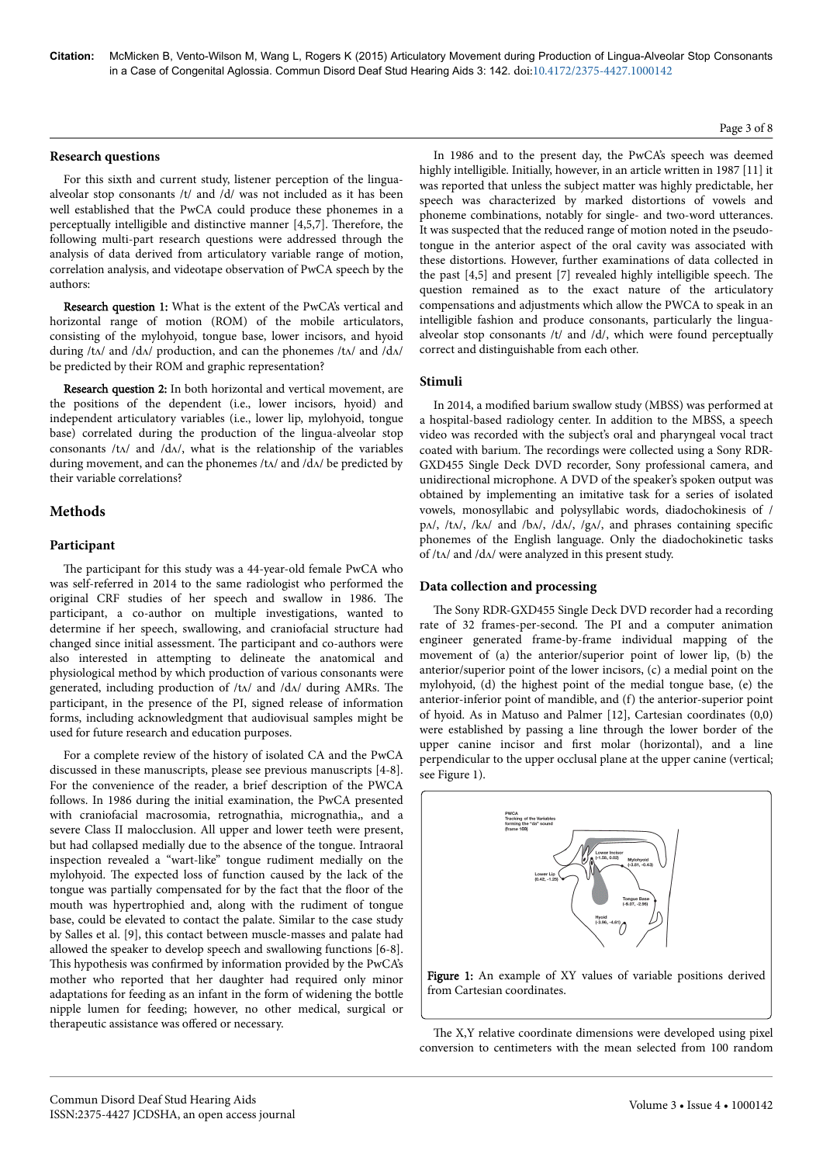## **Research questions**

For this sixth and current study, listener perception of the linguaalveolar stop consonants /t/ and /d/ was not included as it has been well established that the PwCA could produce these phonemes in a perceptually intelligible and distinctive manner [4,5,7]. Нerefore, the following multi-part research questions were addressed through the analysis of data derived from articulatory variable range of motion, correlation analysis, and videotape observation of PwCA speech by the authors:

Research question 1: What is the extent of the PwCA's vertical and horizontal range of motion (ROM) of the mobile articulators, consisting of the mylohyoid, tongue base, lower incisors, and hyoid during /tʌ/ and /dʌ/ production, and can the phonemes /tʌ/ and /dʌ/ be predicted by their ROM and graphic representation?

Research question 2: In both horizontal and vertical movement, are the positions of the dependent (i.e., lower incisors, hyoid) and independent articulatory variables (i.e., lower lip, mylohyoid, tongue base) correlated during the production of the lingua-alveolar stop consonants /tʌ/ and /dʌ/, what is the relationship of the variables during movement, and can the phonemes /t $\Lambda$ / and /d $\Lambda$ / be predicted by their variable correlations?

## **Methods**

#### **Participant**

The participant for this study was a 44-year-old female PwCA who was self-referred in 2014 to the same radiologist who performed the original CRF studies of her speech and swallow in 1986. Нe participant, a co-author on multiple investigations, wanted to determine if her speech, swallowing, and craniofacial structure had changed since initial assessment. Нe participant and co-authors were also interested in attempting to delineate the anatomical and physiological method by which production of various consonants were generated, including production of /tʌ/ and /dʌ/ during AMRs. Нe participant, in the presence of the PI, signed release of information forms, including acknowledgment that audiovisual samples might be used for future research and education purposes.

For a complete review of the history of isolated CA and the PwCA discussed in these manuscripts, please see previous manuscripts [4-8]. For the convenience of the reader, a brief description of the PWCA follows. In 1986 during the initial examination, the PwCA presented with craniofacial macrosomia, retrognathia, micrognathia,, and a severe Class II malocclusion. All upper and lower teeth were present, but had collapsed medially due to the absence of the tongue. Intraoral inspection revealed a "wart-like" tongue rudiment medially on the mylohyoid. Нe expected loss of function caused by the lack of the tongue was partially compensated for by the fact that the floor of the mouth was hypertrophied and, along with the rudiment of tongue base, could be elevated to contact the palate. Similar to the case study by Salles et al. [9], this contact between muscle-masses and palate had allowed the speaker to develop speech and swallowing functions [6-8]. This hypothesis was confirmed by information provided by the PwCA's mother who reported that her daughter had required only minor adaptations for feeding as an infant in the form of widening the bottle nipple lumen for feeding; however, no other medical, surgical or therapeutic assistance was offered or necessary.

In 1986 and to the present day, the PwCA's speech was deemed highly intelligible. Initially, however, in an article written in 1987 [11] it was reported that unless the subject matter was highly predictable, her speech was characterized by marked distortions of vowels and phoneme combinations, notably for single- and two-word utterances. It was suspected that the reduced range of motion noted in the pseudotongue in the anterior aspect of the oral cavity was associated with these distortions. However, further examinations of data collected in the past [4,5] and present [7] revealed highly intelligible speech. Нe question remained as to the exact nature of the articulatory compensations and adjustments which allow the PWCA to speak in an intelligible fashion and produce consonants, particularly the linguaalveolar stop consonants /t/ and /d/, which were found perceptually correct and distinguishable from each other.

#### **Stimuli**

In 2014, a modified barium swallow study (MBSS) was performed at a hospital-based radiology center. In addition to the MBSS, a speech video was recorded with the subject's oral and pharyngeal vocal tract coated with barium. Нe recordings were collected using a Sony RDR-GXD455 Single Deck DVD recorder, Sony professional camera, and unidirectional microphone. A DVD of the speaker's spoken output was obtained by implementing an imitative task for a series of isolated vowels, monosyllabic and polysyllabic words, diadochokinesis of / pʌ/, /tʌ/, /kʌ/ and /bʌ/, /dʌ/, /gʌ/, and phrases containing specific phonemes of the English language. Only the diadochokinetic tasks of  $/t\Lambda$  and  $/d\Lambda$  were analyzed in this present study.

## **Data collection and processing**

The Sony RDR-GXD455 Single Deck DVD recorder had a recording rate of 32 frames-per-second. Нe PI and a computer animation engineer generated frame-by-frame individual mapping of the movement of (a) the anterior/superior point of lower lip, (b) the anterior/superior point of the lower incisors, (c) a medial point on the mylohyoid, (d) the highest point of the medial tongue base, (e) the anterior-inferior point of mandible, and (f) the anterior-superior point of hyoid. As in Matuso and Palmer [12], Cartesian coordinates (0,0) were established by passing a line through the lower border of the upper canine incisor and first molar (horizontal), and a line perpendicular to the upper occlusal plane at the upper canine (vertical; see Figure 1).



The X,Y relative coordinate dimensions were developed using pixel conversion to centimeters with the mean selected from 100 random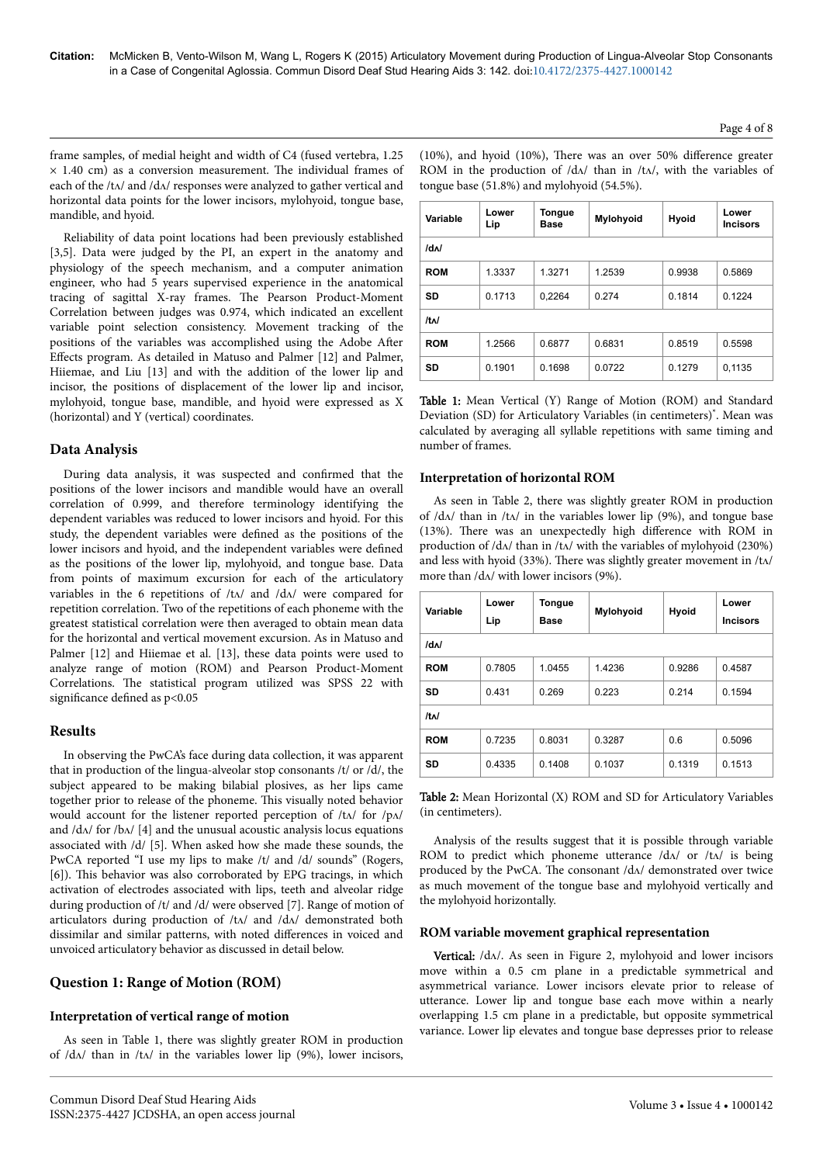**Variable Lower Lip**

**/dʌ/**

**/tʌ/**

frame samples, of medial height and width of C4 (fused vertebra, 1.25  $\times$  1.40 cm) as a conversion measurement. The individual frames of each of the /tʌ/ and /dʌ/ responses were analyzed to gather vertical and horizontal data points for the lower incisors, mylohyoid, tongue base, mandible, and hyoid.

Reliability of data point locations had been previously established [3,5]. Data were judged by the PI, an expert in the anatomy and physiology of the speech mechanism, and a computer animation engineer, who had 5 years supervised experience in the anatomical tracing of sagittal X-ray frames. Нe Pearson Product-Moment Correlation between judges was 0.974, which indicated an excellent variable point selection consistency. Movement tracking of the positions of the variables was accomplished using the Adobe After Effects program. As detailed in Matuso and Palmer [12] and Palmer, Hiiemae, and Liu [13] and with the addition of the lower lip and incisor, the positions of displacement of the lower lip and incisor, mylohyoid, tongue base, mandible, and hyoid were expressed as X (horizontal) and Y (vertical) coordinates.

## **Data Analysis**

During data analysis, it was suspected and confirmed that the positions of the lower incisors and mandible would have an overall correlation of 0.999, and therefore terminology identifying the dependent variables was reduced to lower incisors and hyoid. For this study, the dependent variables were defined as the positions of the lower incisors and hyoid, and the independent variables were defined as the positions of the lower lip, mylohyoid, and tongue base. Data from points of maximum excursion for each of the articulatory variables in the 6 repetitions of /tʌ/ and /dʌ/ were compared for repetition correlation. Two of the repetitions of each phoneme with the greatest statistical correlation were then averaged to obtain mean data for the horizontal and vertical movement excursion. As in Matuso and Palmer [12] and Hiiemae et al. [13], these data points were used to analyze range of motion (ROM) and Pearson Product-Moment Correlations. Нe statistical program utilized was SPSS 22 with significance defined as  $p<0.05$ 

## **Results**

In observing the PwCA's face during data collection, it was apparent that in production of the lingua-alveolar stop consonants /t/ or /d/, the subject appeared to be making bilabial plosives, as her lips came together prior to release of the phoneme. Нis visually noted behavior would account for the listener reported perception of /tʌ/ for /pʌ/ and  $\frac{dA}{dr}$  for  $\frac{dA}{dA}$  [4] and the unusual acoustic analysis locus equations associated with /d/ [5]. When asked how she made these sounds, the PwCA reported "I use my lips to make /t/ and /d/ sounds" (Rogers, [6]). This behavior was also corroborated by EPG tracings, in which activation of electrodes associated with lips, teeth and alveolar ridge during production of /t/ and /d/ were observed [7]. Range of motion of articulators during production of /tʌ/ and /dʌ/ demonstrated both dissimilar and similar patterns, with noted differences in voiced and unvoiced articulatory behavior as discussed in detail below.

# **Question 1: Range of Motion (ROM)**

## **Interpretation of vertical range of motion**

As seen in Table 1, there was slightly greater ROM in production of  $d\Delta$  than in  $/t\Delta$  in the variables lower lip (9%), lower incisors, (10%), and hyoid (10%), There was an over 50% difference greater ROM in the production of  $d\Lambda$  than in  $/t\Lambda$ , with the variables of tongue base (51.8%) and mylohyoid (54.5%).

**ROM** | 1.3337 | 1.3271 | 1.2539 | 0.9938 | 0.5869 **SD** 0.1713 0,2264 0.274 0.1814 0.1224

**ROM** | 1.2566 | 0.6877 | 0.6831 | 0.8519 | 0.5598 **SD** 0.1901 0.1698 0.0722 0.1279 0,1135

**Base Mylohyoid Hyoid Lower**

**Tongue**

| <b>Table 1:</b> Mean Vertical (Y) Range of Motion (ROM) and Standard               |
|------------------------------------------------------------------------------------|
| Deviation (SD) for Articulatory Variables (in centimeters) <sup>*</sup> . Mean was |
| calculated by averaging all syllable repetitions with same timing and              |
| number of frames.                                                                  |

## **Interpretation of horizontal ROM**

As seen in Table 2, there was slightly greater ROM in production of  $\langle d\Lambda \rangle$  than in  $\langle d\Lambda \rangle$  in the variables lower lip (9%), and tongue base (13%). There was an unexpectedly high difference with ROM in production of /dʌ/ than in /tʌ/ with the variables of mylohyoid (230%) and less with hyoid (33%). Нere was slightly greater movement in /tʌ/ more than /dʌ/ with lower incisors (9%).

| Variable              | Lower<br>Lip | <b>Tongue</b><br><b>Base</b> | Mylohyoid | Hyoid  | Lower<br><b>Incisors</b> |  |  |  |
|-----------------------|--------------|------------------------------|-----------|--------|--------------------------|--|--|--|
| /d <sub>M</sub>       |              |                              |           |        |                          |  |  |  |
| <b>ROM</b>            | 0.7805       | 1.0455                       | 1.4236    | 0.9286 | 0.4587                   |  |  |  |
| <b>SD</b>             | 0.431        | 0.269                        | 0.223     | 0.214  | 0.1594                   |  |  |  |
| $/t$ <sub>N</sub> $/$ |              |                              |           |        |                          |  |  |  |
| <b>ROM</b>            | 0.7235       | 0.8031                       | 0.3287    | 0.6    | 0.5096                   |  |  |  |
| SD                    | 0.4335       | 0.1408                       | 0.1037    | 0.1319 | 0.1513                   |  |  |  |

Table 2: Mean Horizontal (X) ROM and SD for Articulatory Variables (in centimeters).

Analysis of the results suggest that it is possible through variable ROM to predict which phoneme utterance /d $\Lambda$ / or /t $\Lambda$ / is being produced by the PwCA. Нe consonant /dʌ/ demonstrated over twice as much movement of the tongue base and mylohyoid vertically and the mylohyoid horizontally.

#### **ROM variable movement graphical representation**

Vertical: /dʌ/. As seen in Figure 2, mylohyoid and lower incisors move within a 0.5 cm plane in a predictable symmetrical and asymmetrical variance. Lower incisors elevate prior to release of utterance. Lower lip and tongue base each move within a nearly overlapping 1.5 cm plane in a predictable, but opposite symmetrical variance. Lower lip elevates and tongue base depresses prior to release

**Incisors**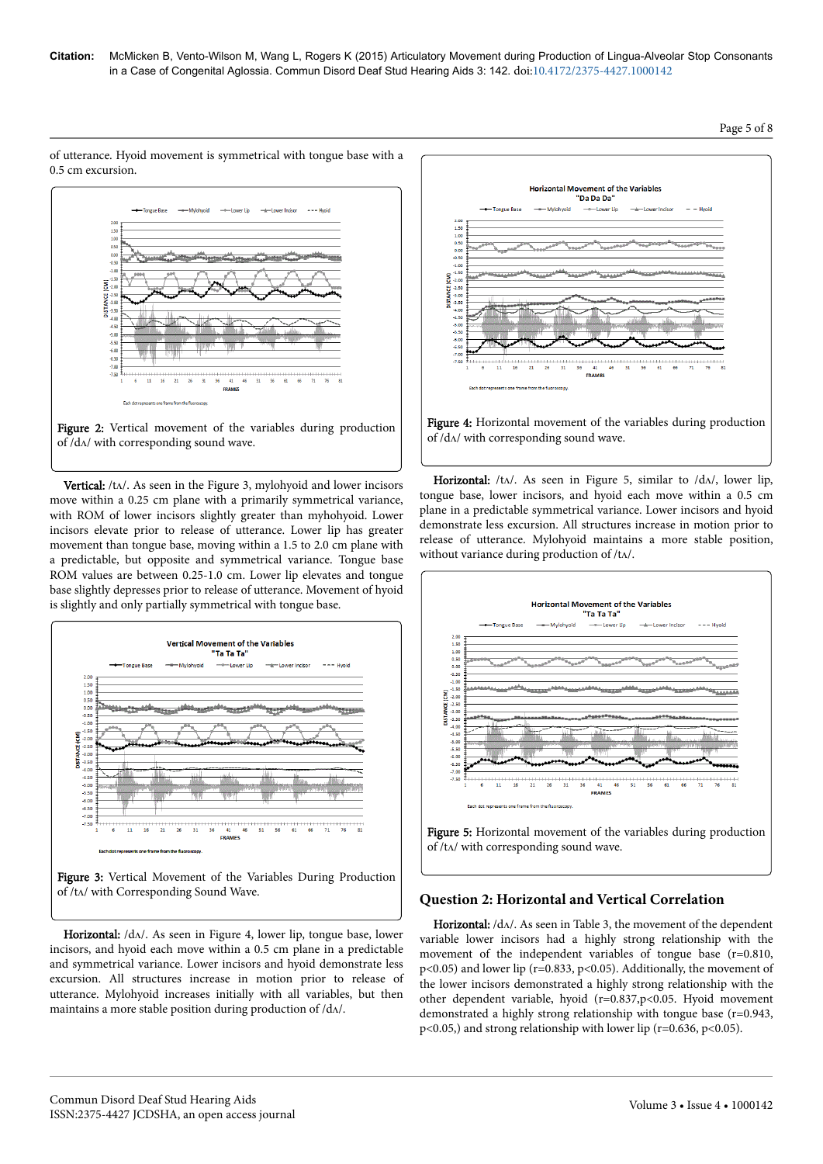





Vertical: /tʌ/. As seen in the Figure 3, mylohyoid and lower incisors move within a 0.25 cm plane with a primarily symmetrical variance, with ROM of lower incisors slightly greater than myhohyoid. Lower incisors elevate prior to release of utterance. Lower lip has greater movement than tongue base, moving within a 1.5 to 2.0 cm plane with a predictable, but opposite and symmetrical variance. Tongue base ROM values are between 0.25-1.0 cm. Lower lip elevates and tongue base slightly depresses prior to release of utterance. Movement of hyoid is slightly and only partially symmetrical with tongue base.





Horizontal: /dʌ/. As seen in Figure 4, lower lip, tongue base, lower incisors, and hyoid each move within a 0.5 cm plane in a predictable and symmetrical variance. Lower incisors and hyoid demonstrate less excursion. All structures increase in motion prior to release of utterance. Mylohyoid increases initially with all variables, but then maintains a more stable position during production of  $/d\Lambda$ .



Figure 4: Horizontal movement of the variables during production of /dʌ/ with corresponding sound wave.

Horizontal:  $/t\Lambda$ . As seen in Figure 5, similar to  $/d\Lambda$ , lower lip, tongue base, lower incisors, and hyoid each move within a 0.5 cm plane in a predictable symmetrical variance. Lower incisors and hyoid demonstrate less excursion. All structures increase in motion prior to release of utterance. Mylohyoid maintains a more stable position, without variance during production of /tʌ/.



## **Question 2: Horizontal and Vertical Correlation**

Horizontal: /dʌ/. As seen in Table 3, the movement of the dependent variable lower incisors had a highly strong relationship with the movement of the independent variables of tongue base (r=0.810, p<0.05) and lower lip (r=0.833, p<0.05). Additionally, the movement of the lower incisors demonstrated a highly strong relationship with the other dependent variable, hyoid (r=0.837,p<0.05. Hyoid movement demonstrated a highly strong relationship with tongue base (r=0.943,  $p<0.05$ ,) and strong relationship with lower lip (r=0.636, p<0.05).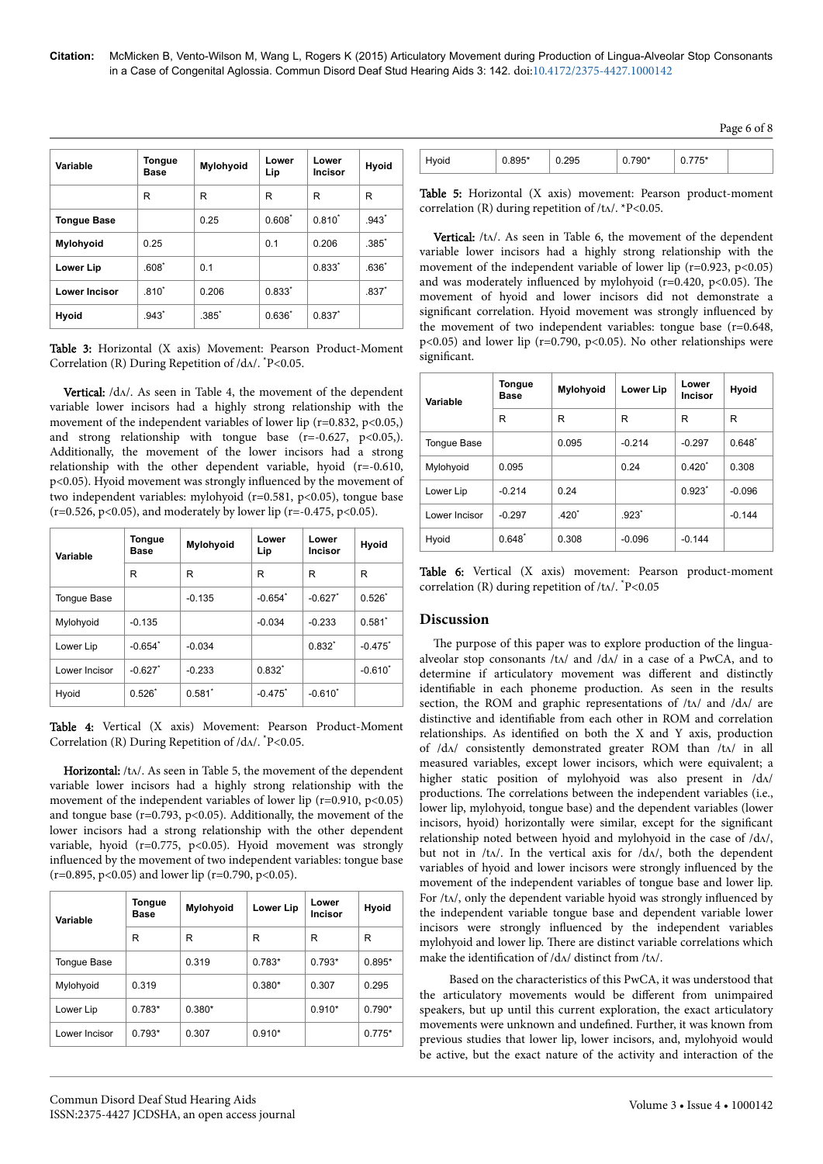| Variable             | <b>Tongue</b><br>Base | Mylohyoid | Lower<br>Lip | Lower<br><b>Incisor</b> | <b>Hyoid</b> |
|----------------------|-----------------------|-----------|--------------|-------------------------|--------------|
|                      | R                     | R         | R            | R                       | R            |
| <b>Tongue Base</b>   |                       | 0.25      | $0.608^*$    | $0.810^{*}$             | $.943*$      |
| <b>Mylohyoid</b>     | 0.25                  |           | 0.1          | 0.206                   | $.385*$      |
| <b>Lower Lip</b>     | $.608*$               | 0.1       |              | $0.833*$                | $.636*$      |
| <b>Lower Incisor</b> | $.810*$               | 0.206     | $0.833*$     |                         | $.837*$      |
| Hyoid                | $.943*$               | $.385*$   | $0.636*$     | $0.837*$                |              |

Table 3: Horizontal (X axis) Movement: Pearson Product-Moment Correlation (R) During Repetition of  $/d\Lambda$ .  $P < 0.05$ .

Vertical: /dʌ/. As seen in Table 4, the movement of the dependent variable lower incisors had a highly strong relationship with the movement of the independent variables of lower lip ( $r=0.832$ ,  $p<0.05$ ,) and strong relationship with tongue base  $(r=-0.627, p<0.05)$ . Additionally, the movement of the lower incisors had a strong relationship with the other dependent variable, hyoid (r=-0.610, p<0.05). Hyoid movement was strongly influenced by the movement of two independent variables: mylohyoid ( $r=0.581$ ,  $p<0.05$ ), tongue base  $(r=0.526, p<0.05)$ , and moderately by lower lip  $(r=.0.475, p<0.05)$ .

| Variable           | Tongue<br><b>Base</b> | Mylohyoid | Lower<br>Lip          | Lower<br>Incisor      | Hyoid        |
|--------------------|-----------------------|-----------|-----------------------|-----------------------|--------------|
|                    | R                     | R         | R                     | R                     | R            |
| <b>Tonque Base</b> |                       | $-0.135$  | $-0.654$ <sup>*</sup> | $-0.627$ <sup>*</sup> | $0.526*$     |
| Mylohyoid          | $-0.135$              |           | $-0.034$              | $-0.233$              | 0.581        |
| Lower Lip          | $-0.654"$             | $-0.034$  |                       | $0.832*$              | $-0.475$ *   |
| Lower Incisor      | $-0.627$              | $-0.233$  | $0.832*$              |                       | $-0.610^{*}$ |
| Hyoid              | $0.526*$              | $0.581*$  | $-0.475$ *            | $-0.610^{*}$          |              |

Table 4: Vertical (X axis) Movement: Pearson Product-Moment Correlation (R) During Repetition of /dʌ/. \*P<0.05.

Horizontal: /tʌ/. As seen in Table 5, the movement of the dependent variable lower incisors had a highly strong relationship with the movement of the independent variables of lower lip ( $r=0.910$ ,  $p<0.05$ ) and tongue base ( $r=0.793$ ,  $p<0.05$ ). Additionally, the movement of the lower incisors had a strong relationship with the other dependent variable, hyoid  $(r=0.775, p<0.05)$ . Hyoid movement was strongly influenced by the movement of two independent variables: tongue base  $(r=0.895, p<0.05)$  and lower lip  $(r=0.790, p<0.05)$ .

| Variable           | <b>Tongue</b><br>Base | Mylohyoid | Lower Lip | Lower<br>Incisor | Hyoid    |
|--------------------|-----------------------|-----------|-----------|------------------|----------|
|                    | R                     | R         | R         | R                | R        |
| <b>Tonque Base</b> |                       | 0.319     | $0.783*$  | $0.793*$         | $0.895*$ |
| Mylohyoid          | 0.319                 |           | $0.380*$  | 0.307            | 0.295    |
| Lower Lip          | $0.783*$              | $0.380*$  |           | $0.910*$         | $0.790*$ |
| Lower Incisor      | $0.793*$              | 0.307     | $0.910*$  |                  | $0.775*$ |

| nyuu | 0.295 | ∩*<br>ັບ | 'E*<br>ັ |  |
|------|-------|----------|----------|--|

Table 5: Horizontal (X axis) movement: Pearson product-moment correlation (R) during repetition of  $/t\Lambda$ . \*P<0.05.

Vertical: /tʌ/. As seen in Table 6, the movement of the dependent variable lower incisors had a highly strong relationship with the movement of the independent variable of lower lip ( $r=0.923$ ,  $p<0.05$ ) and was moderately influenced by mylohyoid ( $r=0.420$ ,  $p<0.05$ ). The movement of hyoid and lower incisors did not demonstrate a significant correlation. Hyoid movement was strongly influenced by the movement of two independent variables: tongue base  $(r=0.648,$  $p<0.05$ ) and lower lip (r=0.790, p<0.05). No other relationships were significant.

| Variable           | Tongue<br>Base | <b>Mylohyoid</b> | Lower Lip           | Lower<br>Incisor | <b>Hyoid</b> |
|--------------------|----------------|------------------|---------------------|------------------|--------------|
|                    | R              | R                | R                   | R                | R            |
| <b>Tonque Base</b> |                | 0.095            | $-0.214$            | $-0.297$         | $0.648^{*}$  |
| Mylohyoid          | 0.095          |                  | 0.24                | $0.420^{*}$      | 0.308        |
| Lower Lip          | $-0.214$       | 0.24             |                     | $0.923*$         | $-0.096$     |
| Lower Incisor      | $-0.297$       | $.420*$          | $.923$ <sup>*</sup> |                  | $-0.144$     |
| Hyoid              | $0.648*$       | 0.308            | $-0.096$            | $-0.144$         |              |

Table 6: Vertical (X axis) movement: Pearson product-moment correlation (R) during repetition of  $/t_A$ ,  $\degree$ P<0.05

# **Discussion**

The purpose of this paper was to explore production of the linguaalveolar stop consonants /tʌ/ and /dʌ/ in a case of a PwCA, and to determine if articulatory movement was different and distinctly identifiable in each phoneme production. As seen in the results section, the ROM and graphic representations of /tʌ/ and /dʌ/ are distinctive and identifiable from each other in ROM and correlation relationships. As identified on both the X and Y axis, production of /dʌ/ consistently demonstrated greater ROM than /tʌ/ in all measured variables, except lower incisors, which were equivalent; a higher static position of mylohyoid was also present in /dʌ/ productions. Нe correlations between the independent variables (i.e., lower lip, mylohyoid, tongue base) and the dependent variables (lower incisors, hyoid) horizontally were similar, except for the significant relationship noted between hyoid and mylohyoid in the case of /dʌ/, but not in /t $\Lambda$ /. In the vertical axis for /d $\Lambda$ /, both the dependent variables of hyoid and lower incisors were strongly influenced by the movement of the independent variables of tongue base and lower lip. For /t^/, only the dependent variable hyoid was strongly influenced by the independent variable tongue base and dependent variable lower incisors were strongly influenced by the independent variables mylohyoid and lower lip. Нere are distinct variable correlations which make the identification of /dʌ/ distinct from /tʌ/.

Based on the characteristics of this PwCA, it was understood that the articulatory movements would be different from unimpaired speakers, but up until this current exploration, the exact articulatory movements were unknown and undefined. Further, it was known from previous studies that lower lip, lower incisors, and, mylohyoid would be active, but the exact nature of the activity and interaction of the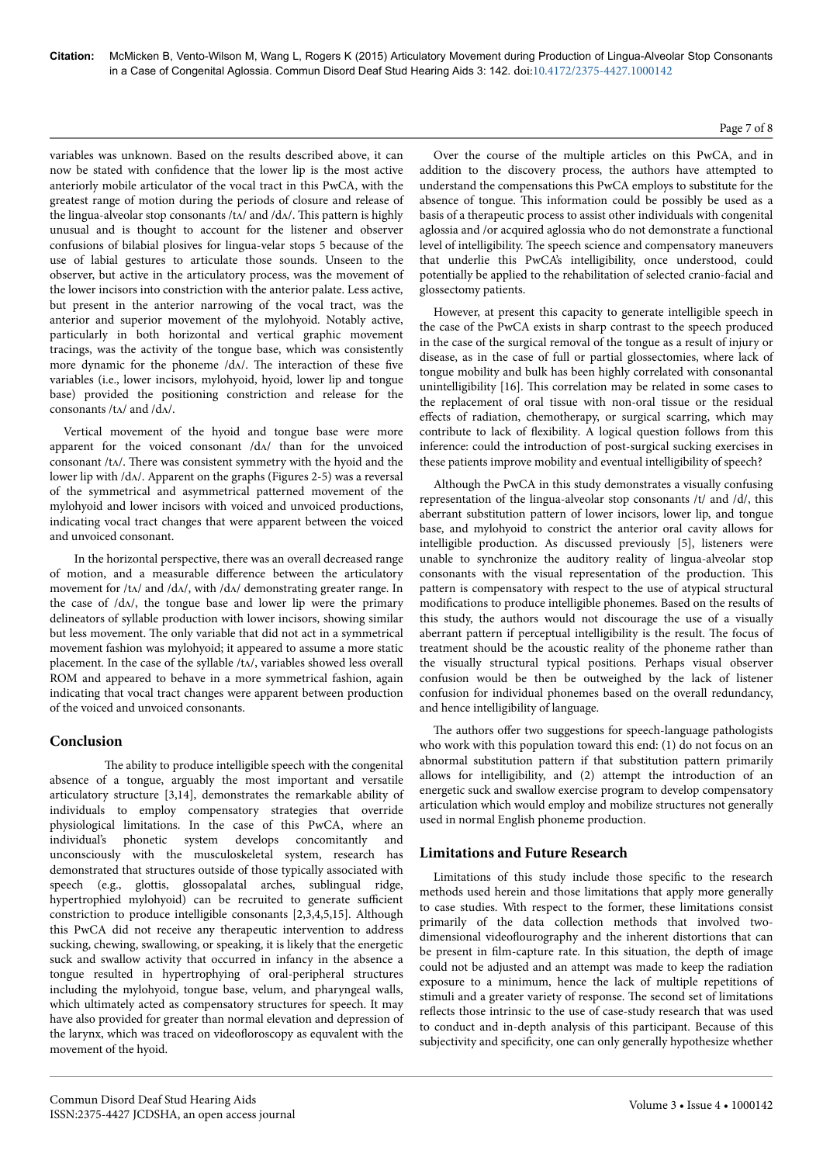variables was unknown. Based on the results described above, it can now be stated with confidence that the lower lip is the most active anteriorly mobile articulator of the vocal tract in this PwCA, with the greatest range of motion during the periods of closure and release of the lingua-alveolar stop consonants /tʌ/ and /dʌ/. Нis pattern is highly unusual and is thought to account for the listener and observer confusions of bilabial plosives for lingua-velar stops 5 because of the use of labial gestures to articulate those sounds. Unseen to the observer, but active in the articulatory process, was the movement of the lower incisors into constriction with the anterior palate. Less active, but present in the anterior narrowing of the vocal tract, was the anterior and superior movement of the mylohyoid. Notably active, particularly in both horizontal and vertical graphic movement tracings, was the activity of the tongue base, which was consistently more dynamic for the phoneme /dʌ/. Нe interaction of these five variables (i.e., lower incisors, mylohyoid, hyoid, lower lip and tongue base) provided the positioning constriction and release for the consonants /tʌ/ and /dʌ/.

Vertical movement of the hyoid and tongue base were more apparent for the voiced consonant /dʌ/ than for the unvoiced consonant /tʌ/. Нere was consistent symmetry with the hyoid and the lower lip with /dʌ/. Apparent on the graphs (Figures 2-5) was a reversal of the symmetrical and asymmetrical patterned movement of the mylohyoid and lower incisors with voiced and unvoiced productions, indicating vocal tract changes that were apparent between the voiced and unvoiced consonant.

In the horizontal perspective, there was an overall decreased range of motion, and a measurable difference between the articulatory movement for /tʌ/ and /dʌ/, with /dʌ/ demonstrating greater range. In the case of  $/d\Delta t$ , the tongue base and lower lip were the primary delineators of syllable production with lower incisors, showing similar but less movement. Нe only variable that did not act in a symmetrical movement fashion was mylohyoid; it appeared to assume a more static placement. In the case of the syllable /tʌ/, variables showed less overall ROM and appeared to behave in a more symmetrical fashion, again indicating that vocal tract changes were apparent between production of the voiced and unvoiced consonants.

# **Conclusion**

The ability to produce intelligible speech with the congenital absence of a tongue, arguably the most important and versatile articulatory structure [3,14], demonstrates the remarkable ability of individuals to employ compensatory strategies that override physiological limitations. In the case of this PwCA, where an individual's phonetic system develops concomitantly and unconsciously with the musculoskeletal system, research has demonstrated that structures outside of those typically associated with speech (e.g., glottis, glossopalatal arches, sublingual ridge, hypertrophied mylohyoid) can be recruited to generate sufficient constriction to produce intelligible consonants [2,3,4,5,15]. Although this PwCA did not receive any therapeutic intervention to address sucking, chewing, swallowing, or speaking, it is likely that the energetic suck and swallow activity that occurred in infancy in the absence a tongue resulted in hypertrophying of oral-peripheral structures including the mylohyoid, tongue base, velum, and pharyngeal walls, which ultimately acted as compensatory structures for speech. It may have also provided for greater than normal elevation and depression of the larynx, which was traced on videofloroscopy as equvalent with the movement of the hyoid.

Over the course of the multiple articles on this PwCA, and in addition to the discovery process, the authors have attempted to understand the compensations this PwCA employs to substitute for the absence of tongue. Нis information could be possibly be used as a basis of a therapeutic process to assist other individuals with congenital aglossia and /or acquired aglossia who do not demonstrate a functional level of intelligibility. Нe speech science and compensatory maneuvers that underlie this PwCA's intelligibility, once understood, could potentially be applied to the rehabilitation of selected cranio-facial and glossectomy patients.

However, at present this capacity to generate intelligible speech in the case of the PwCA exists in sharp contrast to the speech produced in the case of the surgical removal of the tongue as a result of injury or disease, as in the case of full or partial glossectomies, where lack of tongue mobility and bulk has been highly correlated with consonantal unintelligibility [16]. Нis correlation may be related in some cases to the replacement of oral tissue with non-oral tissue or the residual effects of radiation, chemotherapy, or surgical scarring, which may contribute to lack of flexibility. A logical question follows from this inference: could the introduction of post-surgical sucking exercises in these patients improve mobility and eventual intelligibility of speech?

Although the PwCA in this study demonstrates a visually confusing representation of the lingua-alveolar stop consonants /t/ and /d/, this aberrant substitution pattern of lower incisors, lower lip, and tongue base, and mylohyoid to constrict the anterior oral cavity allows for intelligible production. As discussed previously [5], listeners were unable to synchronize the auditory reality of lingua-alveolar stop consonants with the visual representation of the production. Нis pattern is compensatory with respect to the use of atypical structural modifications to produce intelligible phonemes. Based on the results of this study, the authors would not discourage the use of a visually aberrant pattern if perceptual intelligibility is the result. Нe focus of treatment should be the acoustic reality of the phoneme rather than the visually structural typical positions. Perhaps visual observer confusion would be then be outweighed by the lack of listener confusion for individual phonemes based on the overall redundancy, and hence intelligibility of language.

The authors offer two suggestions for speech-language pathologists who work with this population toward this end: (1) do not focus on an abnormal substitution pattern if that substitution pattern primarily allows for intelligibility, and (2) attempt the introduction of an energetic suck and swallow exercise program to develop compensatory articulation which would employ and mobilize structures not generally used in normal English phoneme production.

# **Limitations and Future Research**

Limitations of this study include those specific to the research methods used herein and those limitations that apply more generally to case studies. With respect to the former, these limitations consist primarily of the data collection methods that involved twodimensional videoflourography and the inherent distortions that can be present in film-capture rate. In this situation, the depth of image could not be adjusted and an attempt was made to keep the radiation exposure to a minimum, hence the lack of multiple repetitions of stimuli and a greater variety of response. Нe second set of limitations reflects those intrinsic to the use of case-study research that was used to conduct and in-depth analysis of this participant. Because of this subjectivity and specificity, one can only generally hypothesize whether

## Page 7 of 8